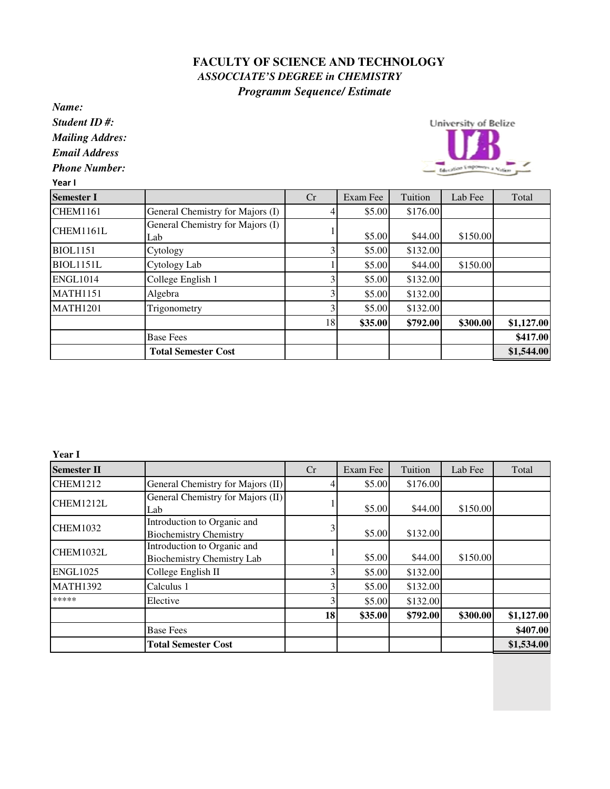## **FACULTY OF SCIENCE AND TECHNOLOGY**  *ASSOCCIATE'S DEGREE in CHEMISTRY Programm Sequence/ Estimate*

*Name:*

*Student ID #:*

*Mailing Addres:*

*Email Address*

*Phone Number:*

Year I



| <b>Semester I</b> |                                  | Cr             | Exam Fee | Tuition  | Lab Fee  | Total      |
|-------------------|----------------------------------|----------------|----------|----------|----------|------------|
| <b>CHEM1161</b>   | General Chemistry for Majors (I) |                | \$5.00   | \$176.00 |          |            |
| CHEM1161L         | General Chemistry for Majors (I) |                |          |          |          |            |
|                   | Lab                              |                | \$5.00   | \$44.00  | \$150.00 |            |
| <b>BIOL1151</b>   | Cytology                         |                | \$5.00   | \$132.00 |          |            |
| <b>BIOL1151L</b>  | Cytology Lab                     |                | \$5.00   | \$44.00  | \$150.00 |            |
| <b>ENGL1014</b>   | College English 1                | 3              | \$5.00   | \$132.00 |          |            |
| <b>MATH1151</b>   | Algebra                          | $\overline{3}$ | \$5.00   | \$132.00 |          |            |
| <b>MATH1201</b>   | Trigonometry                     | 3              | \$5.00   | \$132.00 |          |            |
|                   |                                  | 18             | \$35.00  | \$792.00 | \$300.00 | \$1,127.00 |
|                   | <b>Base Fees</b>                 |                |          |          |          | \$417.00   |
|                   | <b>Total Semester Cost</b>       |                |          |          |          | \$1,544.00 |

**Year I**

| <b>Semester II</b> |                                                                  | Cr        | Exam Fee | Tuition  | Lab Fee  | Total      |
|--------------------|------------------------------------------------------------------|-----------|----------|----------|----------|------------|
| <b>CHEM1212</b>    | General Chemistry for Majors (II)                                |           | \$5.00   | \$176.00 |          |            |
| CHEM1212L          | General Chemistry for Majors (II)<br>Lab                         |           | \$5.00   | \$44.00  | \$150.00 |            |
| <b>CHEM1032</b>    | Introduction to Organic and<br><b>Biochemistry Chemistry</b>     | 3         | \$5.00   | \$132.00 |          |            |
| CHEM1032L          | Introduction to Organic and<br><b>Biochemistry Chemistry Lab</b> |           | \$5.00   | \$44.00  | \$150.00 |            |
| <b>ENGL1025</b>    | College English II                                               | 3         | \$5.00   | \$132.00 |          |            |
| <b>MATH1392</b>    | Calculus 1                                                       | 3         | \$5.00   | \$132.00 |          |            |
| *****              | Elective                                                         | 3         | \$5.00   | \$132.00 |          |            |
|                    |                                                                  | <b>18</b> | \$35.00  | \$792.00 | \$300.00 | \$1,127.00 |
|                    | <b>Base Fees</b>                                                 |           |          |          |          | \$407.00   |
|                    | <b>Total Semester Cost</b>                                       |           |          |          |          | \$1,534.00 |